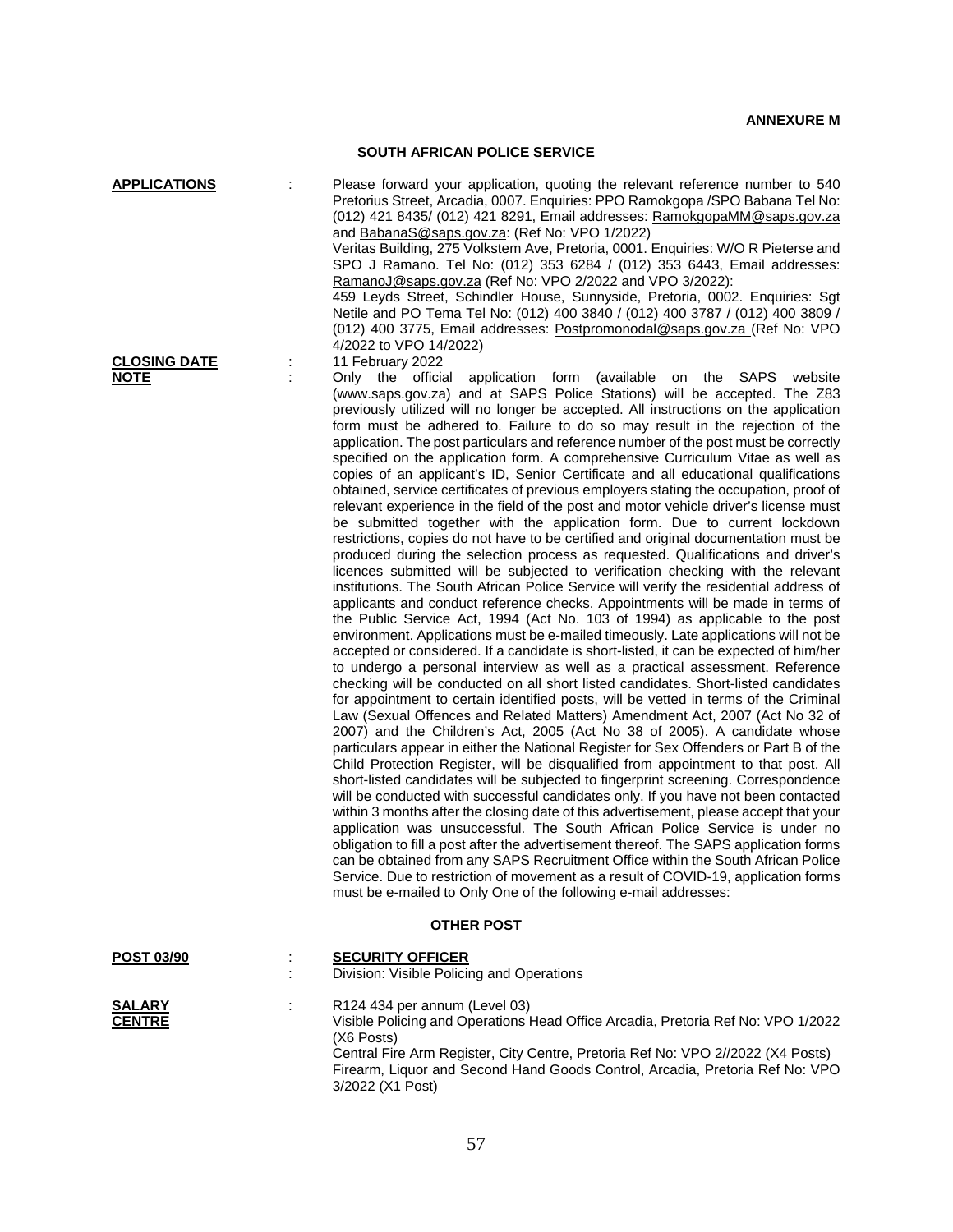## **SOUTH AFRICAN POLICE SERVICE**

**APPLICATIONS** : Please forward your application, quoting the relevant reference number to 540 Pretorius Street, Arcadia, 0007. Enquiries: PPO Ramokgopa /SPO Babana Tel No: (012) 421 8435/ (012) 421 8291, Email addresses: [RamokgopaMM@saps.gov.za](mailto:RamokgopaMM@saps.gov.za) and [BabanaS@saps.gov.za:](mailto:BabanaS@saps.gov.za) (Ref No: VPO 1/2022)

Veritas Building, 275 Volkstem Ave, Pretoria, 0001. Enquiries: W/O R Pieterse and SPO J Ramano. Tel No: (012) 353 6284 / (012) 353 6443, Email addresses: [RamanoJ@saps.gov.za](mailto:RamanoJ@saps.gov.za) (Ref No: VPO 2/2022 and VPO 3/2022):

459 Leyds Street, Schindler House, Sunnyside, Pretoria, 0002. Enquiries: Sgt Netile and PO Tema Tel No: (012) 400 3840 / (012) 400 3787 / (012) 400 3809 / (012) 400 3775, Email addresses: [Postpromonodal@saps.gov.za](mailto:Postpromonodal@saps.gov.za) (Ref No: VPO 4/2022 to VPO 14/2022)

## **CLOSING DATE** : 11 February 2022<br> **NOTE** : Only the official

Only the official application form (available on the SAPS website (www.saps.gov.za) and at SAPS Police Stations) will be accepted. The Z83 previously utilized will no longer be accepted. All instructions on the application form must be adhered to. Failure to do so may result in the rejection of the application. The post particulars and reference number of the post must be correctly specified on the application form. A comprehensive Curriculum Vitae as well as copies of an applicant's ID, Senior Certificate and all educational qualifications obtained, service certificates of previous employers stating the occupation, proof of relevant experience in the field of the post and motor vehicle driver's license must be submitted together with the application form. Due to current lockdown restrictions, copies do not have to be certified and original documentation must be produced during the selection process as requested. Qualifications and driver's licences submitted will be subjected to verification checking with the relevant institutions. The South African Police Service will verify the residential address of applicants and conduct reference checks. Appointments will be made in terms of the Public Service Act, 1994 (Act No. 103 of 1994) as applicable to the post environment. Applications must be e-mailed timeously. Late applications will not be accepted or considered. If a candidate is short-listed, it can be expected of him/her to undergo a personal interview as well as a practical assessment. Reference checking will be conducted on all short listed candidates. Short-listed candidates for appointment to certain identified posts, will be vetted in terms of the Criminal Law (Sexual Offences and Related Matters) Amendment Act, 2007 (Act No 32 of 2007) and the Children's Act, 2005 (Act No 38 of 2005). A candidate whose particulars appear in either the National Register for Sex Offenders or Part B of the Child Protection Register, will be disqualified from appointment to that post. All short-listed candidates will be subjected to fingerprint screening. Correspondence will be conducted with successful candidates only. If you have not been contacted within 3 months after the closing date of this advertisement, please accept that your application was unsuccessful. The South African Police Service is under no obligation to fill a post after the advertisement thereof. The SAPS application forms can be obtained from any SAPS Recruitment Office within the South African Police Service. Due to restriction of movement as a result of COVID-19, application forms must be e-mailed to Only One of the following e-mail addresses:

## **OTHER POST**

| <b>POST 03/90</b> |   | <b>SECURITY OFFICER</b>                                                                          |
|-------------------|---|--------------------------------------------------------------------------------------------------|
|                   | ÷ | Division: Visible Policing and Operations                                                        |
| <b>SALARY</b>     |   | R124 434 per annum (Level 03)                                                                    |
| <b>CENTRE</b>     |   | Visible Policing and Operations Head Office Arcadia, Pretoria Ref No: VPO 1/2022<br>$(X6$ Posts) |
|                   |   | Central Fire Arm Register, City Centre, Pretoria Ref No: VPO 2//2022 (X4 Posts)                  |
|                   |   | Firearm, Liquor and Second Hand Goods Control, Arcadia, Pretoria Ref No: VPO                     |

3/2022 (X1 Post)